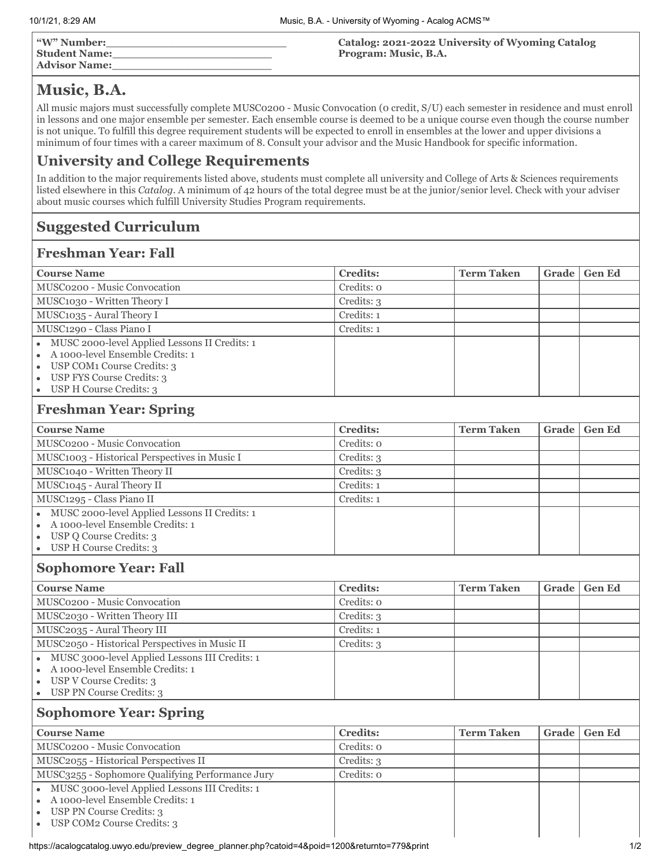| "W" Number:          |  |
|----------------------|--|
| <b>Student Name:</b> |  |
| <b>Advisor Name:</b> |  |

**Catalog: 2021-2022 University of Wyoming Catalog Program: Music, B.A.**

# **Music, B.A.**

All music majors must successfully complete MUSC0200 - Music Convocation (0 credit, S/U) each semester in residence and must enroll in lessons and one major ensemble per semester. Each ensemble course is deemed to be a unique course even though the course number is not unique. To fulfill this degree requirement students will be expected to enroll in ensembles at the lower and upper divisions a minimum of four times with a career maximum of 8. Consult your advisor and the Music Handbook for specific information.

## **University and College Requirements**

In addition to the major requirements listed above, students must complete all university and College of Arts & Sciences requirements listed elsewhere in this *Catalog*. A minimum of 42 hours of the total degree must be at the junior/senior level. Check with your adviser about music courses which fulfill University Studies Program requirements.

## **Suggested Curriculum**

#### **Freshman Year: Fall**

| <b>Course Name</b>                                                                 | <b>Credits:</b> | <b>Term Taken</b> | Grade | <b>Gen Ed</b> |  |  |
|------------------------------------------------------------------------------------|-----------------|-------------------|-------|---------------|--|--|
| MUSC0200 - Music Convocation                                                       | Credits: 0      |                   |       |               |  |  |
| MUSC1030 - Written Theory I                                                        | Credits: 3      |                   |       |               |  |  |
| MUSC1035 - Aural Theory I                                                          | Credits: 1      |                   |       |               |  |  |
| MUSC1290 - Class Piano I                                                           | Credits: 1      |                   |       |               |  |  |
| MUSC 2000-level Applied Lessons II Credits: 1<br>A 1000-level Ensemble Credits: 1  |                 |                   |       |               |  |  |
| USP COM1 Course Credits: 3                                                         |                 |                   |       |               |  |  |
| USP FYS Course Credits: 3                                                          |                 |                   |       |               |  |  |
| USP H Course Credits: 3                                                            |                 |                   |       |               |  |  |
| <b>Freshman Year: Spring</b>                                                       |                 |                   |       |               |  |  |
| <b>Course Name</b>                                                                 | <b>Credits:</b> | <b>Term Taken</b> | Grade | <b>Gen Ed</b> |  |  |
| MUSC0200 - Music Convocation                                                       | Credits: o      |                   |       |               |  |  |
| MUSC1003 - Historical Perspectives in Music I                                      | Credits: 3      |                   |       |               |  |  |
| MUSC1040 - Written Theory II                                                       | Credits: 3      |                   |       |               |  |  |
| MUSC1045 - Aural Theory II                                                         | Credits: 1      |                   |       |               |  |  |
| MUSC1295 - Class Piano II                                                          | Credits: 1      |                   |       |               |  |  |
| MUSC 2000-level Applied Lessons II Credits: 1                                      |                 |                   |       |               |  |  |
| A 1000-level Ensemble Credits: 1                                                   |                 |                   |       |               |  |  |
| USP Q Course Credits: 3<br>USP H Course Credits: 3<br>$\bullet$                    |                 |                   |       |               |  |  |
|                                                                                    |                 |                   |       |               |  |  |
| <b>Sophomore Year: Fall</b>                                                        |                 |                   |       |               |  |  |
| <b>Course Name</b>                                                                 | <b>Credits:</b> | <b>Term Taken</b> | Grade | <b>Gen Ed</b> |  |  |
| MUSC0200 - Music Convocation                                                       | Credits: 0      |                   |       |               |  |  |
| MUSC2030 - Written Theory III                                                      | Credits: 3      |                   |       |               |  |  |
| MUSC2035 - Aural Theory III                                                        | Credits: 1      |                   |       |               |  |  |
| MUSC2050 - Historical Perspectives in Music II                                     | Credits: 3      |                   |       |               |  |  |
| MUSC 3000-level Applied Lessons III Credits: 1<br>A 1000-level Ensemble Credits: 1 |                 |                   |       |               |  |  |

USP V Course Credits: 3 USP PN Course Credits: 3

### **Sophomore Year: Spring**

| <b>Course Name</b>                                                                                                                           | <b>Credits:</b> | <b>Term Taken</b> | Grade | <b>Gen Ed</b> |
|----------------------------------------------------------------------------------------------------------------------------------------------|-----------------|-------------------|-------|---------------|
| MUSC0200 - Music Convocation                                                                                                                 | Credits: 0      |                   |       |               |
| MUSC2055 - Historical Perspectives II                                                                                                        | Credits: 3      |                   |       |               |
| MUSC3255 - Sophomore Qualifying Performance Jury                                                                                             | Credits: 0      |                   |       |               |
| MUSC 3000-level Applied Lessons III Credits: 1<br>A 1000-level Ensemble Credits: 1<br>USP PN Course Credits: 3<br>USP COM2 Course Credits: 3 |                 |                   |       |               |